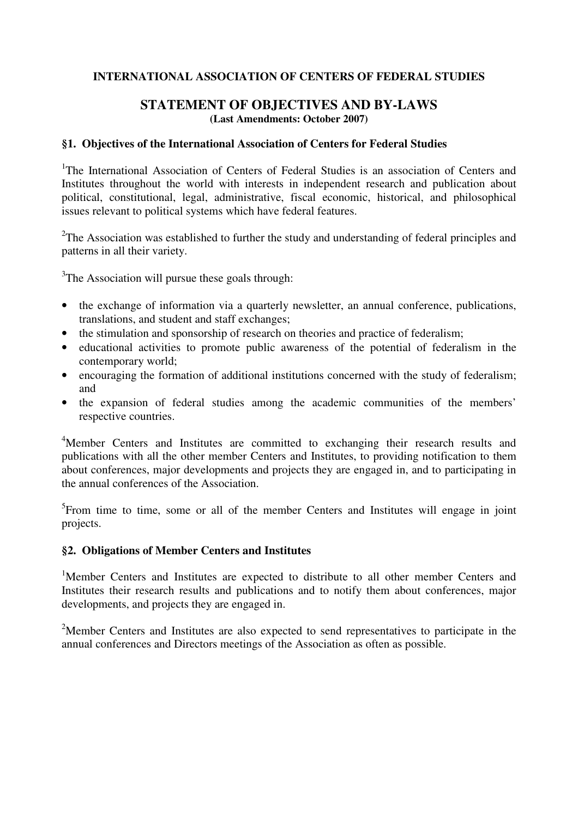# **INTERNATIONAL ASSOCIATION OF CENTERS OF FEDERAL STUDIES**

# **STATEMENT OF OBJECTIVES AND BY-LAWS (Last Amendments: October 2007)**

#### **§1. Objectives of the International Association of Centers for Federal Studies**

<sup>1</sup>The International Association of Centers of Federal Studies is an association of Centers and Institutes throughout the world with interests in independent research and publication about political, constitutional, legal, administrative, fiscal economic, historical, and philosophical issues relevant to political systems which have federal features.

 $2$ The Association was established to further the study and understanding of federal principles and patterns in all their variety.

 $3$ The Association will pursue these goals through:

- the exchange of information via a quarterly newsletter, an annual conference, publications, translations, and student and staff exchanges;
- the stimulation and sponsorship of research on theories and practice of federalism;
- educational activities to promote public awareness of the potential of federalism in the contemporary world;
- encouraging the formation of additional institutions concerned with the study of federalism; and
- the expansion of federal studies among the academic communities of the members' respective countries.

<sup>4</sup>Member Centers and Institutes are committed to exchanging their research results and publications with all the other member Centers and Institutes, to providing notification to them about conferences, major developments and projects they are engaged in, and to participating in the annual conferences of the Association.

<sup>5</sup>From time to time, some or all of the member Centers and Institutes will engage in joint projects.

# **§2. Obligations of Member Centers and Institutes**

<sup>1</sup>Member Centers and Institutes are expected to distribute to all other member Centers and Institutes their research results and publications and to notify them about conferences, major developments, and projects they are engaged in.

<sup>2</sup>Member Centers and Institutes are also expected to send representatives to participate in the annual conferences and Directors meetings of the Association as often as possible.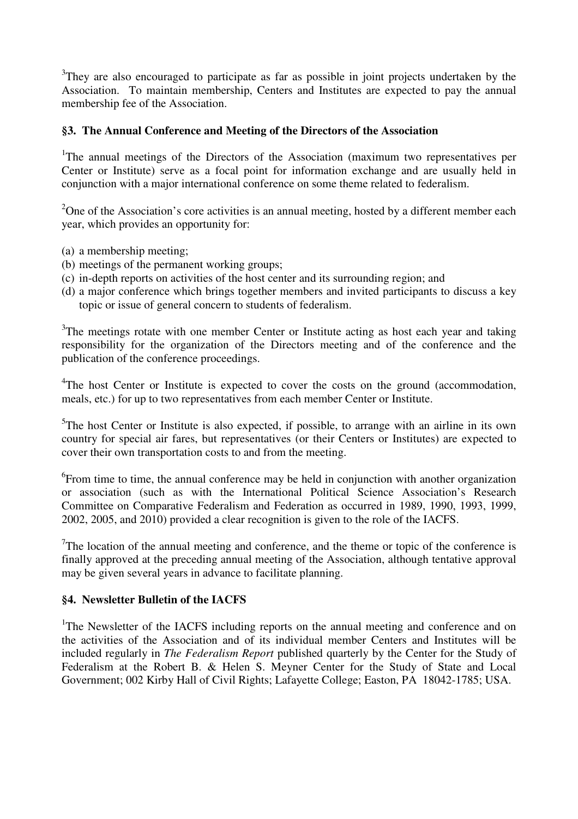<sup>3</sup>They are also encouraged to participate as far as possible in joint projects undertaken by the Association. To maintain membership, Centers and Institutes are expected to pay the annual membership fee of the Association.

# **§3. The Annual Conference and Meeting of the Directors of the Association**

<sup>1</sup>The annual meetings of the Directors of the Association (maximum two representatives per Center or Institute) serve as a focal point for information exchange and are usually held in conjunction with a major international conference on some theme related to federalism.

<sup>2</sup>One of the Association's core activities is an annual meeting, hosted by a different member each year, which provides an opportunity for:

- (a) a membership meeting;
- (b) meetings of the permanent working groups;
- (c) in-depth reports on activities of the host center and its surrounding region; and
- (d) a major conference which brings together members and invited participants to discuss a key topic or issue of general concern to students of federalism.

 $3$ The meetings rotate with one member Center or Institute acting as host each year and taking responsibility for the organization of the Directors meeting and of the conference and the publication of the conference proceedings.

<sup>4</sup>The host Center or Institute is expected to cover the costs on the ground (accommodation, meals, etc.) for up to two representatives from each member Center or Institute.

 $5$ The host Center or Institute is also expected, if possible, to arrange with an airline in its own country for special air fares, but representatives (or their Centers or Institutes) are expected to cover their own transportation costs to and from the meeting.

<sup>6</sup> From time to time, the annual conference may be held in conjunction with another organization or association (such as with the International Political Science Association's Research Committee on Comparative Federalism and Federation as occurred in 1989, 1990, 1993, 1999, 2002, 2005, and 2010) provided a clear recognition is given to the role of the IACFS.

 $7$ The location of the annual meeting and conference, and the theme or topic of the conference is finally approved at the preceding annual meeting of the Association, although tentative approval may be given several years in advance to facilitate planning.

#### **§4. Newsletter Bulletin of the IACFS**

<sup>1</sup>The Newsletter of the IACFS including reports on the annual meeting and conference and on the activities of the Association and of its individual member Centers and Institutes will be included regularly in *The Federalism Report* published quarterly by the Center for the Study of Federalism at the Robert B. & Helen S. Meyner Center for the Study of State and Local Government; 002 Kirby Hall of Civil Rights; Lafayette College; Easton, PA 18042-1785; USA.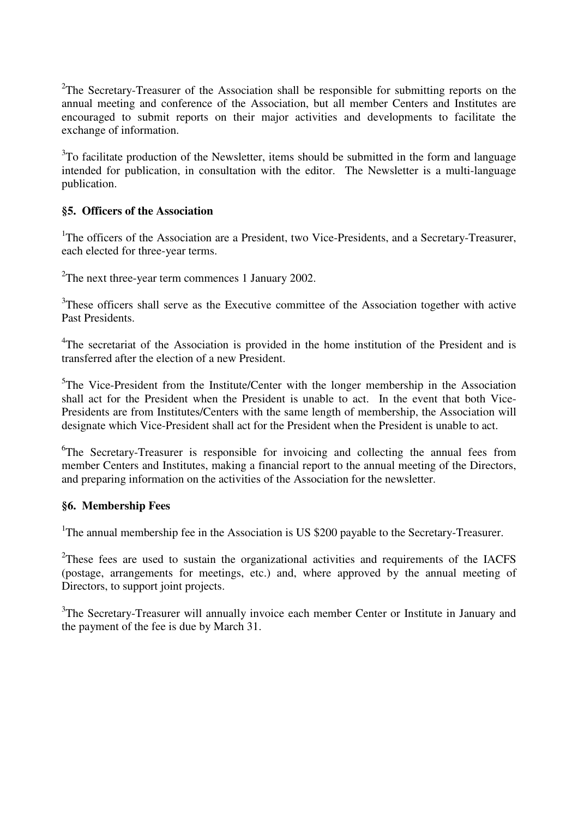<sup>2</sup>The Secretary-Treasurer of the Association shall be responsible for submitting reports on the annual meeting and conference of the Association, but all member Centers and Institutes are encouraged to submit reports on their major activities and developments to facilitate the exchange of information.

 $3$ To facilitate production of the Newsletter, items should be submitted in the form and language intended for publication, in consultation with the editor. The Newsletter is a multi-language publication.

## **§5. Officers of the Association**

<sup>1</sup>The officers of the Association are a President, two Vice-Presidents, and a Secretary-Treasurer, each elected for three-year terms.

<sup>2</sup>The next three-year term commences 1 January 2002.

 $3$ These officers shall serve as the Executive committee of the Association together with active Past Presidents.

<sup>4</sup>The secretariat of the Association is provided in the home institution of the President and is transferred after the election of a new President.

 $5$ The Vice-President from the Institute/Center with the longer membership in the Association shall act for the President when the President is unable to act. In the event that both Vice-Presidents are from Institutes/Centers with the same length of membership, the Association will designate which Vice-President shall act for the President when the President is unable to act.

<sup>6</sup>The Secretary-Treasurer is responsible for invoicing and collecting the annual fees from member Centers and Institutes, making a financial report to the annual meeting of the Directors, and preparing information on the activities of the Association for the newsletter.

#### **§6. Membership Fees**

<sup>1</sup>The annual membership fee in the Association is US \$200 payable to the Secretary-Treasurer.

 $2$ These fees are used to sustain the organizational activities and requirements of the IACFS (postage, arrangements for meetings, etc.) and, where approved by the annual meeting of Directors, to support joint projects.

<sup>3</sup>The Secretary-Treasurer will annually invoice each member Center or Institute in January and the payment of the fee is due by March 31.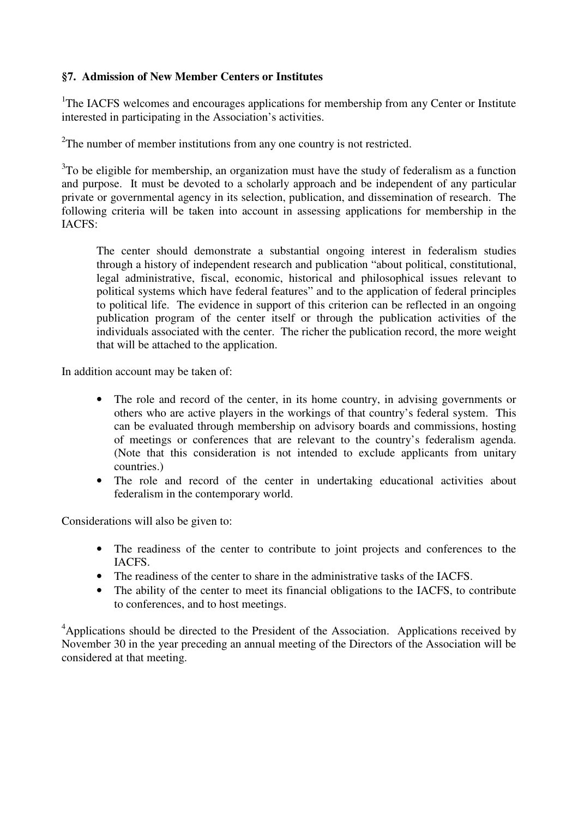# **§7. Admission of New Member Centers or Institutes**

<sup>1</sup>The IACFS welcomes and encourages applications for membership from any Center or Institute interested in participating in the Association's activities.

 $2^2$ The number of member institutions from any one country is not restricted.

 $3$ To be eligible for membership, an organization must have the study of federalism as a function and purpose. It must be devoted to a scholarly approach and be independent of any particular private or governmental agency in its selection, publication, and dissemination of research. The following criteria will be taken into account in assessing applications for membership in the IACFS:

The center should demonstrate a substantial ongoing interest in federalism studies through a history of independent research and publication "about political, constitutional, legal administrative, fiscal, economic, historical and philosophical issues relevant to political systems which have federal features" and to the application of federal principles to political life. The evidence in support of this criterion can be reflected in an ongoing publication program of the center itself or through the publication activities of the individuals associated with the center. The richer the publication record, the more weight that will be attached to the application.

In addition account may be taken of:

- The role and record of the center, in its home country, in advising governments or others who are active players in the workings of that country's federal system. This can be evaluated through membership on advisory boards and commissions, hosting of meetings or conferences that are relevant to the country's federalism agenda. (Note that this consideration is not intended to exclude applicants from unitary countries.)
- The role and record of the center in undertaking educational activities about federalism in the contemporary world.

Considerations will also be given to:

- The readiness of the center to contribute to joint projects and conferences to the IACFS.
- The readiness of the center to share in the administrative tasks of the IACFS.
- The ability of the center to meet its financial obligations to the IACFS, to contribute to conferences, and to host meetings.

<sup>4</sup>Applications should be directed to the President of the Association. Applications received by November 30 in the year preceding an annual meeting of the Directors of the Association will be considered at that meeting.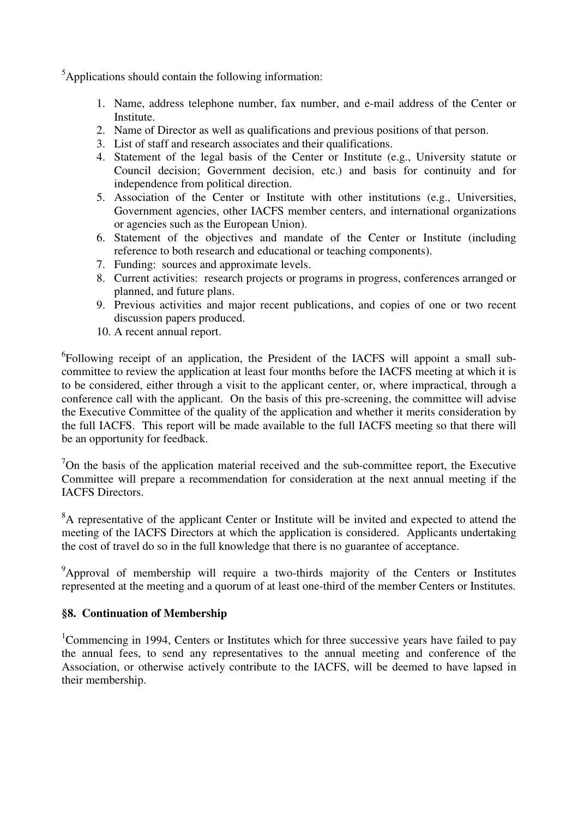$5$ Applications should contain the following information:

- 1. Name, address telephone number, fax number, and e-mail address of the Center or Institute.
- 2. Name of Director as well as qualifications and previous positions of that person.
- 3. List of staff and research associates and their qualifications.
- 4. Statement of the legal basis of the Center or Institute (e.g., University statute or Council decision; Government decision, etc.) and basis for continuity and for independence from political direction.
- 5. Association of the Center or Institute with other institutions (e.g., Universities, Government agencies, other IACFS member centers, and international organizations or agencies such as the European Union).
- 6. Statement of the objectives and mandate of the Center or Institute (including reference to both research and educational or teaching components).
- 7. Funding: sources and approximate levels.
- 8. Current activities: research projects or programs in progress, conferences arranged or planned, and future plans.
- 9. Previous activities and major recent publications, and copies of one or two recent discussion papers produced.
- 10. A recent annual report.

<sup>6</sup>Following receipt of an application, the President of the IACFS will appoint a small subcommittee to review the application at least four months before the IACFS meeting at which it is to be considered, either through a visit to the applicant center, or, where impractical, through a conference call with the applicant. On the basis of this pre-screening, the committee will advise the Executive Committee of the quality of the application and whether it merits consideration by the full IACFS. This report will be made available to the full IACFS meeting so that there will be an opportunity for feedback.

 $7$ On the basis of the application material received and the sub-committee report, the Executive Committee will prepare a recommendation for consideration at the next annual meeting if the IACFS Directors.

<sup>8</sup>A representative of the applicant Center or Institute will be invited and expected to attend the meeting of the IACFS Directors at which the application is considered. Applicants undertaking the cost of travel do so in the full knowledge that there is no guarantee of acceptance.

 $9^9$ Approval of membership will require a two-thirds majority of the Centers or Institutes represented at the meeting and a quorum of at least one-third of the member Centers or Institutes.

## **§8. Continuation of Membership**

<sup>1</sup>Commencing in 1994, Centers or Institutes which for three successive years have failed to pay the annual fees, to send any representatives to the annual meeting and conference of the Association, or otherwise actively contribute to the IACFS, will be deemed to have lapsed in their membership.